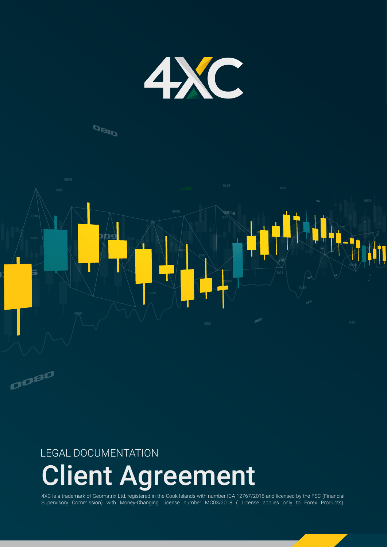

### **DBID**



## LEGAL DOCUMENTATION

# Client Agreement

4XC is a trademark of Geomatrix Ltd, registered in the Cook Islands with number ICA 12767/2018 and licensed by the FSC (Financial Supervisory Commission) with Money-Changing License number MC03/2018 ( License applies only to Forex Products).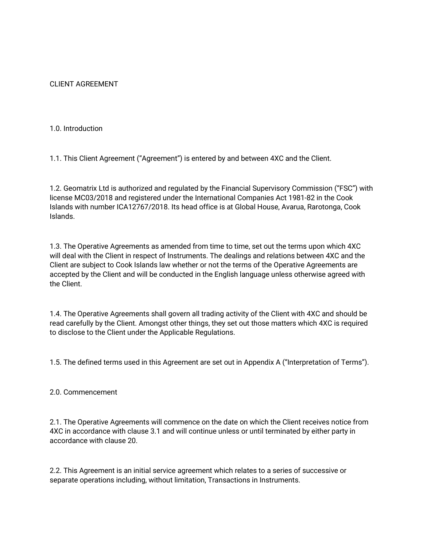CLIENT AGREEMENT

1.0. Introduction

1.1. This Client Agreement ("Agreement") is entered by and between 4XC and the Client.

1.2. Geomatrix Ltd is authorized and regulated by the Financial Supervisory Commission ("FSC") with license MC03/2018 and registered under the International Companies Act 1981-82 in the Cook Islands with number ICA12767/2018. Its head office is at Global House, Avarua, Rarotonga, Cook Islands.

1.3. The Operative Agreements as amended from time to time, set out the terms upon which 4XC will deal with the Client in respect of Instruments. The dealings and relations between 4XC and the Client are subject to Cook Islands law whether or not the terms of the Operative Agreements are accepted by the Client and will be conducted in the English language unless otherwise agreed with the Client.

1.4. The Operative Agreements shall govern all trading activity of the Client with 4XC and should be read carefully by the Client. Amongst other things, they set out those matters which 4XC is required to disclose to the Client under the Applicable Regulations.

1.5. The defined terms used in this Agreement are set out in Appendix A ("Interpretation of Terms").

#### 2.0. Commencement

2.1. The Operative Agreements will commence on the date on which the Client receives notice from 4XC in accordance with clause 3.1 and will continue unless or until terminated by either party in accordance with clause 20.

2.2. This Agreement is an initial service agreement which relates to a series of successive or separate operations including, without limitation, Transactions in Instruments.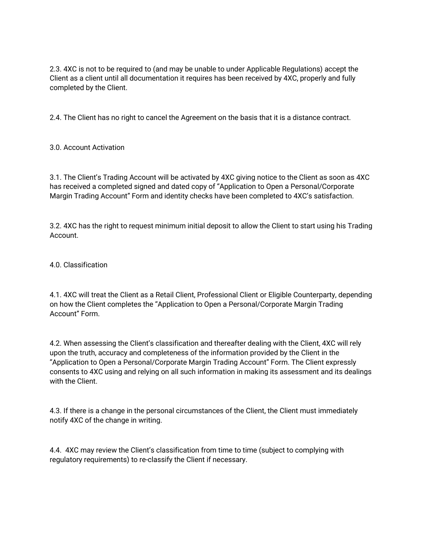2.3. 4XC is not to be required to (and may be unable to under Applicable Regulations) accept the Client as a client until all documentation it requires has been received by 4XC, properly and fully completed by the Client.

2.4. The Client has no right to cancel the Agreement on the basis that it is a distance contract.

3.0. Account Activation

3.1. The Client's Trading Account will be activated by 4XC giving notice to the Client as soon as 4XC has received a completed signed and dated copy of "Application to Open a Personal/Corporate Margin Trading Account" Form and identity checks have been completed to 4XC's satisfaction.

3.2. 4XC has the right to request minimum initial deposit to allow the Client to start using his Trading Account.

4.0. Classification

4.1. 4XC will treat the Client as a Retail Client, Professional Client or Eligible Counterparty, depending on how the Client completes the "Application to Open a Personal/Corporate Margin Trading Account" Form.

4.2. When assessing the Client's classification and thereafter dealing with the Client, 4XC will rely upon the truth, accuracy and completeness of the information provided by the Client in the "Application to Open a Personal/Corporate Margin Trading Account" Form. The Client expressly consents to 4XC using and relying on all such information in making its assessment and its dealings with the Client.

4.3. If there is a change in the personal circumstances of the Client, the Client must immediately notify 4XC of the change in writing.

4.4. 4XC may review the Client's classification from time to time (subject to complying with regulatory requirements) to re-classify the Client if necessary.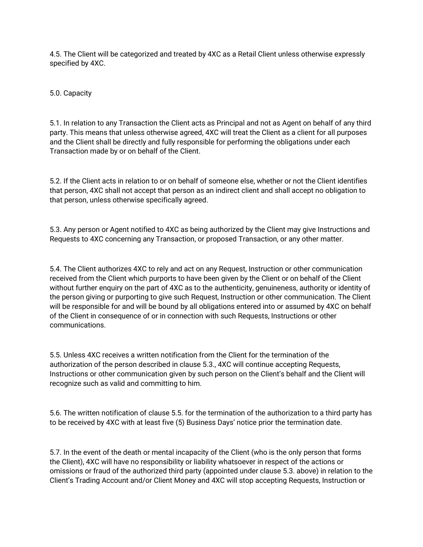4.5. The Client will be categorized and treated by 4XC as a Retail Client unless otherwise expressly specified by 4XC.

5.0. Capacity

5.1. In relation to any Transaction the Client acts as Principal and not as Agent on behalf of any third party. This means that unless otherwise agreed, 4XC will treat the Client as a client for all purposes and the Client shall be directly and fully responsible for performing the obligations under each Transaction made by or on behalf of the Client.

5.2. If the Client acts in relation to or on behalf of someone else, whether or not the Client identifies that person, 4XC shall not accept that person as an indirect client and shall accept no obligation to that person, unless otherwise specifically agreed.

5.3. Any person or Agent notified to 4XC as being authorized by the Client may give Instructions and Requests to 4XC concerning any Transaction, or proposed Transaction, or any other matter.

5.4. The Client authorizes 4XC to rely and act on any Request, Instruction or other communication received from the Client which purports to have been given by the Client or on behalf of the Client without further enquiry on the part of 4XC as to the authenticity, genuineness, authority or identity of the person giving or purporting to give such Request, Instruction or other communication. The Client will be responsible for and will be bound by all obligations entered into or assumed by 4XC on behalf of the Client in consequence of or in connection with such Requests, Instructions or other communications.

5.5. Unless 4XC receives a written notification from the Client for the termination of the authorization of the person described in clause 5.3., 4XC will continue accepting Requests, Instructions or other communication given by such person on the Client's behalf and the Client will recognize such as valid and committing to him.

5.6. The written notification of clause 5.5. for the termination of the authorization to a third party has to be received by 4XC with at least five (5) Business Days' notice prior the termination date.

5.7. In the event of the death or mental incapacity of the Client (who is the only person that forms the Client), 4XC will have no responsibility or liability whatsoever in respect of the actions or omissions or fraud of the authorized third party (appointed under clause 5.3. above) in relation to the Client's Trading Account and/or Client Money and 4XC will stop accepting Requests, Instruction or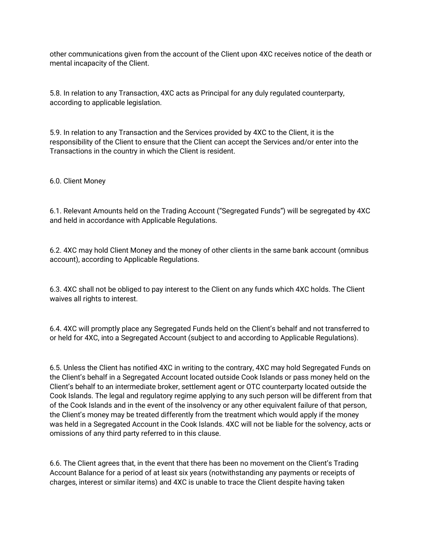other communications given from the account of the Client upon 4XC receives notice of the death or mental incapacity of the Client.

5.8. In relation to any Transaction, 4XC acts as Principal for any duly regulated counterparty, according to applicable legislation.

5.9. In relation to any Transaction and the Services provided by 4XC to the Client, it is the responsibility of the Client to ensure that the Client can accept the Services and/or enter into the Transactions in the country in which the Client is resident.

6.0. Client Money

6.1. Relevant Amounts held on the Trading Account ("Segregated Funds") will be segregated by 4XC and held in accordance with Applicable Regulations.

6.2. 4XC may hold Client Money and the money of other clients in the same bank account (omnibus account), according to Applicable Regulations.

6.3. 4XC shall not be obliged to pay interest to the Client on any funds which 4XC holds. The Client waives all rights to interest.

6.4. 4XC will promptly place any Segregated Funds held on the Client's behalf and not transferred to or held for 4XC, into a Segregated Account (subject to and according to Applicable Regulations).

6.5. Unless the Client has notified 4XC in writing to the contrary, 4XC may hold Segregated Funds on the Client's behalf in a Segregated Account located outside Cook Islands or pass money held on the Client's behalf to an intermediate broker, settlement agent or OTC counterparty located outside the Cook Islands. The legal and regulatory regime applying to any such person will be different from that of the Cook Islands and in the event of the insolvency or any other equivalent failure of that person, the Client's money may be treated differently from the treatment which would apply if the money was held in a Segregated Account in the Cook Islands. 4XC will not be liable for the solvency, acts or omissions of any third party referred to in this clause.

6.6. The Client agrees that, in the event that there has been no movement on the Client's Trading Account Balance for a period of at least six years (notwithstanding any payments or receipts of charges, interest or similar items) and 4XC is unable to trace the Client despite having taken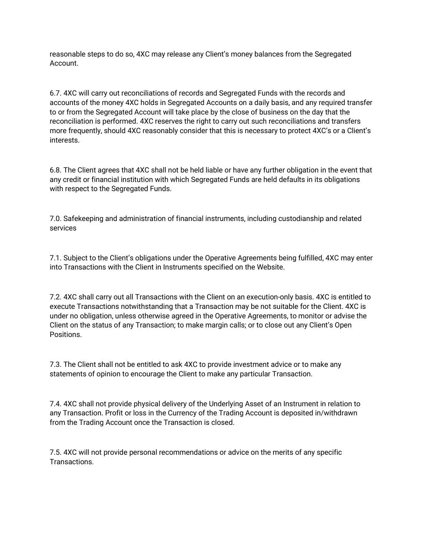reasonable steps to do so, 4XC may release any Client's money balances from the Segregated Account.

6.7. 4XC will carry out reconciliations of records and Segregated Funds with the records and accounts of the money 4XC holds in Segregated Accounts on a daily basis, and any required transfer to or from the Segregated Account will take place by the close of business on the day that the reconciliation is performed. 4XC reserves the right to carry out such reconciliations and transfers more frequently, should 4XC reasonably consider that this is necessary to protect 4XC's or a Client's interests.

6.8. The Client agrees that 4XC shall not be held liable or have any further obligation in the event that any credit or financial institution with which Segregated Funds are held defaults in its obligations with respect to the Segregated Funds.

7.0. Safekeeping and administration of financial instruments, including custodianship and related services

7.1. Subject to the Client's obligations under the Operative Agreements being fulfilled, 4XC may enter into Transactions with the Client in Instruments specified on the Website.

7.2. 4XC shall carry out all Transactions with the Client on an execution-only basis. 4XC is entitled to execute Transactions notwithstanding that a Transaction may be not suitable for the Client. 4XC is under no obligation, unless otherwise agreed in the Operative Agreements, to monitor or advise the Client on the status of any Transaction; to make margin calls; or to close out any Client's Open Positions.

7.3. The Client shall not be entitled to ask 4XC to provide investment advice or to make any statements of opinion to encourage the Client to make any particular Transaction.

7.4. 4XC shall not provide physical delivery of the Underlying Asset of an Instrument in relation to any Transaction. Profit or loss in the Currency of the Trading Account is deposited in/withdrawn from the Trading Account once the Transaction is closed.

7.5. 4XC will not provide personal recommendations or advice on the merits of any specific **Transactions**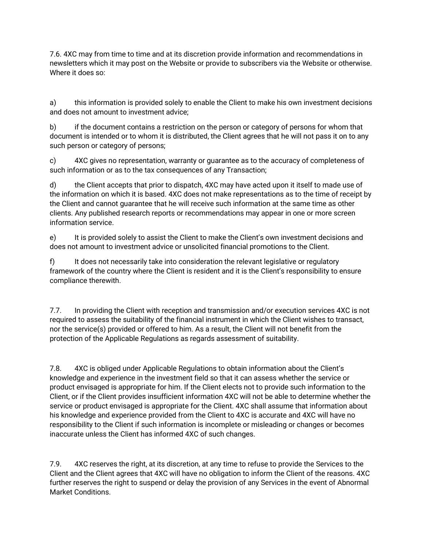7.6. 4XC may from time to time and at its discretion provide information and recommendations in newsletters which it may post on the Website or provide to subscribers via the Website or otherwise. Where it does so:

a) this information is provided solely to enable the Client to make his own investment decisions and does not amount to investment advice;

b) if the document contains a restriction on the person or category of persons for whom that document is intended or to whom it is distributed, the Client agrees that he will not pass it on to any such person or category of persons;

c) 4XC gives no representation, warranty or guarantee as to the accuracy of completeness of such information or as to the tax consequences of any Transaction;

d) the Client accepts that prior to dispatch, 4XC may have acted upon it itself to made use of the information on which it is based. 4XC does not make representations as to the time of receipt by the Client and cannot guarantee that he will receive such information at the same time as other clients. Any published research reports or recommendations may appear in one or more screen information service.

e) It is provided solely to assist the Client to make the Client's own investment decisions and does not amount to investment advice or unsolicited financial promotions to the Client.

f) It does not necessarily take into consideration the relevant legislative or regulatory framework of the country where the Client is resident and it is the Client's responsibility to ensure compliance therewith.

7.7. In providing the Client with reception and transmission and/or execution services 4XC is not required to assess the suitability of the financial instrument in which the Client wishes to transact, nor the service(s) provided or offered to him. As a result, the Client will not benefit from the protection of the Applicable Regulations as regards assessment of suitability.

7.8. 4XC is obliged under Applicable Regulations to obtain information about the Client's knowledge and experience in the investment field so that it can assess whether the service or product envisaged is appropriate for him. If the Client elects not to provide such information to the Client, or if the Client provides insufficient information 4XC will not be able to determine whether the service or product envisaged is appropriate for the Client. 4XC shall assume that information about his knowledge and experience provided from the Client to 4XC is accurate and 4XC will have no responsibility to the Client if such information is incomplete or misleading or changes or becomes inaccurate unless the Client has informed 4XC of such changes.

7.9. 4XC reserves the right, at its discretion, at any time to refuse to provide the Services to the Client and the Client agrees that 4XC will have no obligation to inform the Client of the reasons. 4XC further reserves the right to suspend or delay the provision of any Services in the event of Abnormal Market Conditions.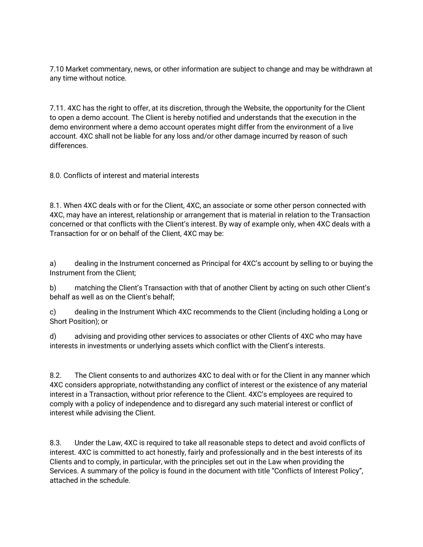7.10 Market commentary, news, or other information are subject to change and may be withdrawn at any time without notice.

7.11. 4XC has the right to offer, at its discretion, through the Website, the opportunity for the Client to open a demo account. The Client is hereby notified and understands that the execution in the demo environment where a demo account operates might differ from the environment of a live account. 4XC shall not be liable for any loss and/or other damage incurred by reason of such differences.

8.0. Conflicts of interest and material interests

8.1. When 4XC deals with or for the Client, 4XC, an associate or some other person connected with 4XC, may have an interest, relationship or arrangement that is material in relation to the Transaction concerned or that conflicts with the Client's interest. By way of example only, when 4XC deals with a Transaction for or on behalf of the Client, 4XC may be:

a) dealing in the Instrument concerned as Principal for 4XC's account by selling to or buying the Instrument from the Client;

b) matching the Client's Transaction with that of another Client by acting on such other Client's behalf as well as on the Client's behalf;

c) dealing in the Instrument Which 4XC recommends to the Client (including holding a Long or Short Position); or

d) advising and providing other services to associates or other Clients of 4XC who may have interests in investments or underlying assets which conflict with the Client's interests.

8.2. The Client consents to and authorizes 4XC to deal with or for the Client in any manner which 4XC considers appropriate, notwithstanding any conflict of interest or the existence of any material interest in a Transaction, without prior reference to the Client. 4XC's employees are required to comply with a policy of independence and to disregard any such material interest or conflict of interest while advising the Client.

8.3. Under the Law, 4XC is required to take all reasonable steps to detect and avoid conflicts of interest. 4XC is committed to act honestly, fairly and professionally and in the best interests of its Clients and to comply, in particular, with the principles set out in the Law when providing the Services. A summary of the policy is found in the document with title "Conflicts of Interest Policy", attached in the schedule.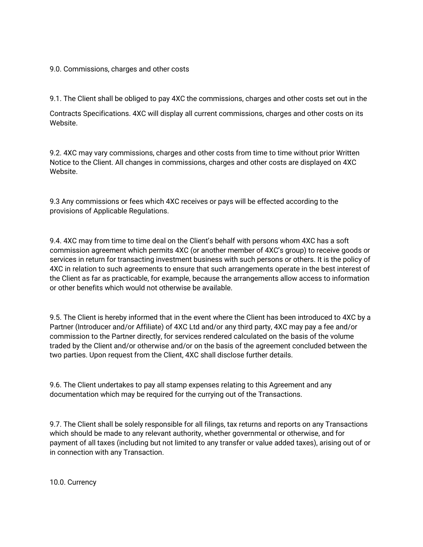#### 9.0. Commissions, charges and other costs

9.1. The Client shall be obliged to pay 4XC the commissions, charges and other costs set out in the

Contracts Specifications. 4XC will display all current commissions, charges and other costs on its Website.

9.2. 4XC may vary commissions, charges and other costs from time to time without prior Written Notice to the Client. All changes in commissions, charges and other costs are displayed on 4XC Website.

9.3 Any commissions or fees which 4XC receives or pays will be effected according to the provisions of Applicable Regulations.

9.4. 4XC may from time to time deal on the Client's behalf with persons whom 4XC has a soft commission agreement which permits 4XC (or another member of 4XC's group) to receive goods or services in return for transacting investment business with such persons or others. It is the policy of 4XC in relation to such agreements to ensure that such arrangements operate in the best interest of the Client as far as practicable, for example, because the arrangements allow access to information or other benefits which would not otherwise be available.

9.5. The Client is hereby informed that in the event where the Client has been introduced to 4XC by a Partner (Introducer and/or Affiliate) of 4XC Ltd and/or any third party, 4XC may pay a fee and/or commission to the Partner directly, for services rendered calculated on the basis of the volume traded by the Client and/or otherwise and/or on the basis of the agreement concluded between the two parties. Upon request from the Client, 4XC shall disclose further details.

9.6. The Client undertakes to pay all stamp expenses relating to this Agreement and any documentation which may be required for the currying out of the Transactions.

9.7. The Client shall be solely responsible for all filings, tax returns and reports on any Transactions which should be made to any relevant authority, whether governmental or otherwise, and for payment of all taxes (including but not limited to any transfer or value added taxes), arising out of or in connection with any Transaction.

10.0. Currency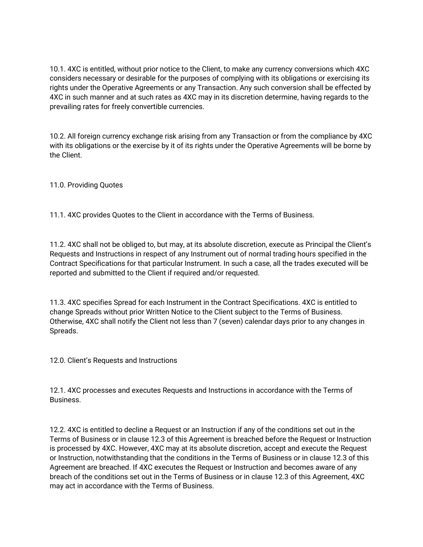10.1. 4XC is entitled, without prior notice to the Client, to make any currency conversions which 4XC considers necessary or desirable for the purposes of complying with its obligations or exercising its rights under the Operative Agreements or any Transaction. Any such conversion shall be effected by 4XC in such manner and at such rates as 4XC may in its discretion determine, having regards to the prevailing rates for freely convertible currencies.

10.2. All foreign currency exchange risk arising from any Transaction or from the compliance by 4XC with its obligations or the exercise by it of its rights under the Operative Agreements will be borne by the Client.

11.0. Providing Quotes

11.1. 4XC provides Quotes to the Client in accordance with the Terms of Business.

11.2. 4XC shall not be obliged to, but may, at its absolute discretion, execute as Principal the Client's Requests and Instructions in respect of any Instrument out of normal trading hours specified in the Contract Specifications for that particular Instrument. In such a case, all the trades executed will be reported and submitted to the Client if required and/or requested.

11.3. 4XC specifies Spread for each Instrument in the Contract Specifications. 4XC is entitled to change Spreads without prior Written Notice to the Client subject to the Terms of Business. Otherwise, 4XC shall notify the Client not less than 7 (seven) calendar days prior to any changes in Spreads.

12.0. Client's Requests and Instructions

12.1. 4XC processes and executes Requests and Instructions in accordance with the Terms of Business.

12.2. 4XC is entitled to decline a Request or an Instruction if any of the conditions set out in the Terms of Business or in clause 12.3 of this Agreement is breached before the Request or Instruction is processed by 4XC. However, 4XC may at its absolute discretion, accept and execute the Request or Instruction, notwithstanding that the conditions in the Terms of Business or in clause 12.3 of this Agreement are breached. If 4XC executes the Request or Instruction and becomes aware of any breach of the conditions set out in the Terms of Business or in clause 12.3 of this Agreement, 4XC may act in accordance with the Terms of Business.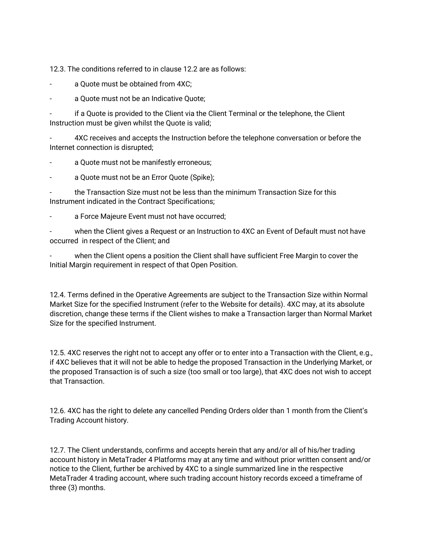12.3. The conditions referred to in clause 12.2 are as follows:

a Quote must be obtained from 4XC;

- a Quote must not be an Indicative Quote;

if a Quote is provided to the Client via the Client Terminal or the telephone, the Client Instruction must be given whilst the Quote is valid;

- 4XC receives and accepts the Instruction before the telephone conversation or before the Internet connection is disrupted;

a Quote must not be manifestly erroneous;

a Quote must not be an Error Quote (Spike);

- the Transaction Size must not be less than the minimum Transaction Size for this Instrument indicated in the Contract Specifications;

a Force Majeure Event must not have occurred;

when the Client gives a Request or an Instruction to 4XC an Event of Default must not have occurred in respect of the Client; and

when the Client opens a position the Client shall have sufficient Free Margin to cover the Initial Margin requirement in respect of that Open Position.

12.4. Terms defined in the Operative Agreements are subject to the Transaction Size within Normal Market Size for the specified Instrument (refer to the Website for details). 4XC may, at its absolute discretion, change these terms if the Client wishes to make a Transaction larger than Normal Market Size for the specified Instrument.

12.5. 4XC reserves the right not to accept any offer or to enter into a Transaction with the Client, e.g., if 4XC believes that it will not be able to hedge the proposed Transaction in the Underlying Market, or the proposed Transaction is of such a size (too small or too large), that 4XC does not wish to accept that Transaction.

12.6. 4XC has the right to delete any cancelled Pending Orders older than 1 month from the Client's Trading Account history.

12.7. The Client understands, confirms and accepts herein that any and/or all of his/her trading account history in MetaTrader 4 Platforms may at any time and without prior written consent and/or notice to the Client, further be archived by 4XC to a single summarized line in the respective MetaTrader 4 trading account, where such trading account history records exceed a timeframe of three (3) months.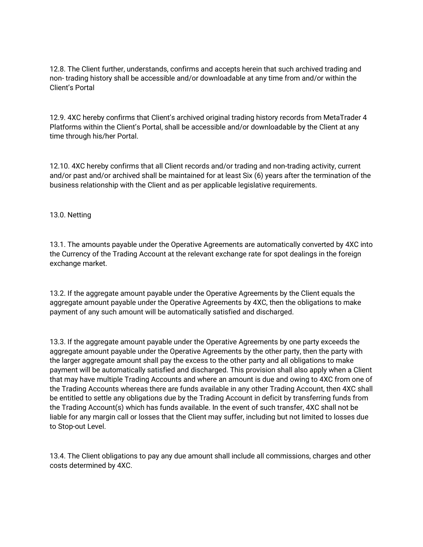12.8. The Client further, understands, confirms and accepts herein that such archived trading and non- trading history shall be accessible and/or downloadable at any time from and/or within the Client's Portal

12.9. 4XC hereby confirms that Client's archived original trading history records from MetaTrader 4 Platforms within the Client's Portal, shall be accessible and/or downloadable by the Client at any time through his/her Portal.

12.10. 4XC hereby confirms that all Client records and/or trading and non-trading activity, current and/or past and/or archived shall be maintained for at least Six (6) years after the termination of the business relationship with the Client and as per applicable legislative requirements.

#### 13.0. Netting

13.1. The amounts payable under the Operative Agreements are automatically converted by 4XC into the Currency of the Trading Account at the relevant exchange rate for spot dealings in the foreign exchange market.

13.2. If the aggregate amount payable under the Operative Agreements by the Client equals the aggregate amount payable under the Operative Agreements by 4XC, then the obligations to make payment of any such amount will be automatically satisfied and discharged.

13.3. If the aggregate amount payable under the Operative Agreements by one party exceeds the aggregate amount payable under the Operative Agreements by the other party, then the party with the larger aggregate amount shall pay the excess to the other party and all obligations to make payment will be automatically satisfied and discharged. This provision shall also apply when a Client that may have multiple Trading Accounts and where an amount is due and owing to 4XC from one of the Trading Accounts whereas there are funds available in any other Trading Account, then 4XC shall be entitled to settle any obligations due by the Trading Account in deficit by transferring funds from the Trading Account(s) which has funds available. In the event of such transfer, 4XC shall not be liable for any margin call or losses that the Client may suffer, including but not limited to losses due to Stop-out Level.

13.4. The Client obligations to pay any due amount shall include all commissions, charges and other costs determined by 4XC.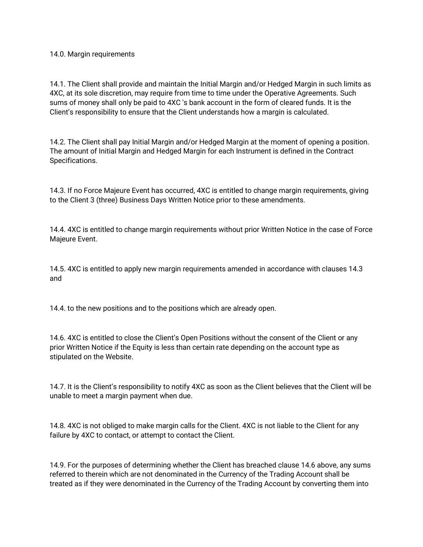#### 14.0. Margin requirements

14.1. The Client shall provide and maintain the Initial Margin and/or Hedged Margin in such limits as 4XC, at its sole discretion, may require from time to time under the Operative Agreements. Such sums of money shall only be paid to 4XC 's bank account in the form of cleared funds. It is the Client's responsibility to ensure that the Client understands how a margin is calculated.

14.2. The Client shall pay Initial Margin and/or Hedged Margin at the moment of opening a position. The amount of Initial Margin and Hedged Margin for each Instrument is defined in the Contract Specifications.

14.3. If no Force Majeure Event has occurred, 4XC is entitled to change margin requirements, giving to the Client 3 (three) Business Days Written Notice prior to these amendments.

14.4. 4XC is entitled to change margin requirements without prior Written Notice in the case of Force Majeure Event.

14.5. 4XC is entitled to apply new margin requirements amended in accordance with clauses 14.3 and

14.4. to the new positions and to the positions which are already open.

14.6. 4XC is entitled to close the Client's Open Positions without the consent of the Client or any prior Written Notice if the Equity is less than certain rate depending on the account type as stipulated on the Website.

14.7. It is the Client's responsibility to notify 4XC as soon as the Client believes that the Client will be unable to meet a margin payment when due.

14.8. 4XC is not obliged to make margin calls for the Client. 4XC is not liable to the Client for any failure by 4XC to contact, or attempt to contact the Client.

14.9. For the purposes of determining whether the Client has breached clause 14.6 above, any sums referred to therein which are not denominated in the Currency of the Trading Account shall be treated as if they were denominated in the Currency of the Trading Account by converting them into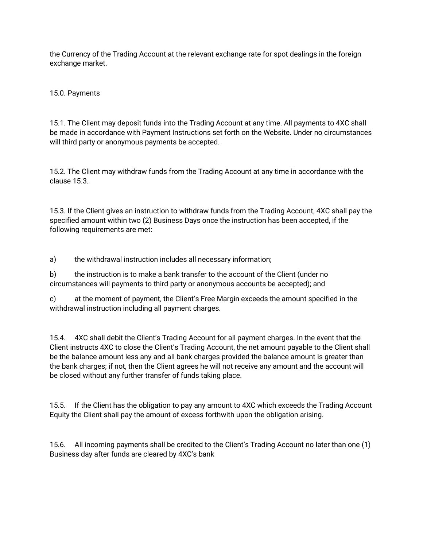the Currency of the Trading Account at the relevant exchange rate for spot dealings in the foreign exchange market.

15.0. Payments

15.1. The Client may deposit funds into the Trading Account at any time. All payments to 4XC shall be made in accordance with Payment Instructions set forth on the Website. Under no circumstances will third party or anonymous payments be accepted.

15.2. The Client may withdraw funds from the Trading Account at any time in accordance with the clause 15.3.

15.3. If the Client gives an instruction to withdraw funds from the Trading Account, 4XC shall pay the specified amount within two (2) Business Days once the instruction has been accepted, if the following requirements are met:

a) the withdrawal instruction includes all necessary information;

b) the instruction is to make a bank transfer to the account of the Client (under no circumstances will payments to third party or anonymous accounts be accepted); and

c) at the moment of payment, the Client's Free Margin exceeds the amount specified in the withdrawal instruction including all payment charges.

15.4. 4XC shall debit the Client's Trading Account for all payment charges. In the event that the Client instructs 4XC to close the Client's Trading Account, the net amount payable to the Client shall be the balance amount less any and all bank charges provided the balance amount is greater than the bank charges; if not, then the Client agrees he will not receive any amount and the account will be closed without any further transfer of funds taking place.

15.5. If the Client has the obligation to pay any amount to 4XC which exceeds the Trading Account Equity the Client shall pay the amount of excess forthwith upon the obligation arising.

15.6. All incoming payments shall be credited to the Client's Trading Account no later than one (1) Business day after funds are cleared by 4XC's bank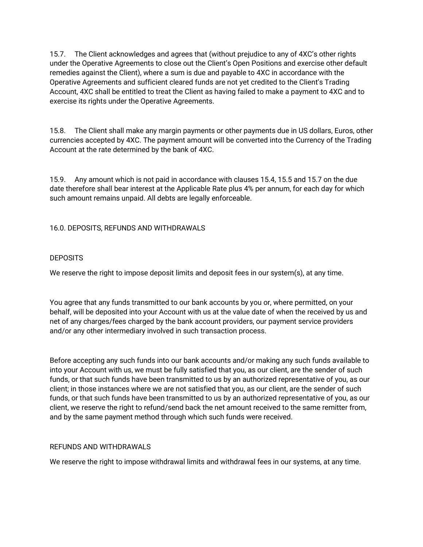15.7. The Client acknowledges and agrees that (without prejudice to any of 4XC's other rights under the Operative Agreements to close out the Client's Open Positions and exercise other default remedies against the Client), where a sum is due and payable to 4XC in accordance with the Operative Agreements and sufficient cleared funds are not yet credited to the Client's Trading Account, 4XC shall be entitled to treat the Client as having failed to make a payment to 4XC and to exercise its rights under the Operative Agreements.

15.8. The Client shall make any margin payments or other payments due in US dollars, Euros, other currencies accepted by 4XC. The payment amount will be converted into the Currency of the Trading Account at the rate determined by the bank of 4XC.

15.9. Any amount which is not paid in accordance with clauses 15.4, 15.5 and 15.7 on the due date therefore shall bear interest at the Applicable Rate plus 4% per annum, for each day for which such amount remains unpaid. All debts are legally enforceable.

#### 16.0. DEPOSITS, REFUNDS AND WITHDRAWALS

#### **DEPOSITS**

We reserve the right to impose deposit limits and deposit fees in our system(s), at any time.

You agree that any funds transmitted to our bank accounts by you or, where permitted, on your behalf, will be deposited into your Account with us at the value date of when the received by us and net of any charges/fees charged by the bank account providers, our payment service providers and/or any other intermediary involved in such transaction process.

Before accepting any such funds into our bank accounts and/or making any such funds available to into your Account with us, we must be fully satisfied that you, as our client, are the sender of such funds, or that such funds have been transmitted to us by an authorized representative of you, as our client; in those instances where we are not satisfied that you, as our client, are the sender of such funds, or that such funds have been transmitted to us by an authorized representative of you, as our client, we reserve the right to refund/send back the net amount received to the same remitter from, and by the same payment method through which such funds were received.

#### REFUNDS AND WITHDRAWALS

We reserve the right to impose withdrawal limits and withdrawal fees in our systems, at any time.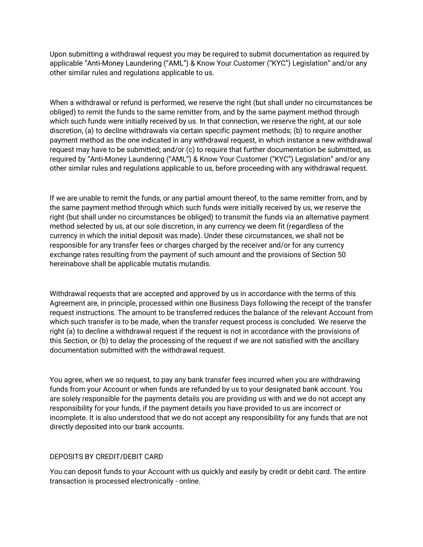Upon submitting a withdrawal request you may be required to submit documentation as required by applicable "Anti-Money Laundering ("AML") & Know Your Customer ("KYC") Legislation" and/or any other similar rules and regulations applicable to us.

When a withdrawal or refund is performed, we reserve the right (but shall under no circumstances be obliged) to remit the funds to the same remitter from, and by the same payment method through which such funds were initially received by us. In that connection, we reserve the right, at our sole discretion, (a) to decline withdrawals via certain specific payment methods; (b) to require another payment method as the one indicated in any withdrawal request, in which instance a new withdrawal request may have to be submitted; and/or (c) to require that further documentation be submitted, as required by "Anti-Money Laundering ("AML") & Know Your Customer ("KYC") Legislation" and/or any other similar rules and regulations applicable to us, before proceeding with any withdrawal request.

If we are unable to remit the funds, or any partial amount thereof, to the same remitter from, and by the same payment method through which such funds were initially received by us, we reserve the right (but shall under no circumstances be obliged) to transmit the funds via an alternative payment method selected by us, at our sole discretion, in any currency we deem fit (regardless of the currency in which the initial deposit was made). Under these circumstances, we shall not be responsible for any transfer fees or charges charged by the receiver and/or for any currency exchange rates resulting from the payment of such amount and the provisions of Section 50 hereinabove shall be applicable mutatis mutandis.

Withdrawal requests that are accepted and approved by us in accordance with the terms of this Agreement are, in principle, processed within one Business Days following the receipt of the transfer request instructions. The amount to be transferred reduces the balance of the relevant Account from which such transfer is to be made, when the transfer request process is concluded. We reserve the right (a) to decline a withdrawal request if the request is not in accordance with the provisions of this Section, or (b) to delay the processing of the request if we are not satisfied with the ancillary documentation submitted with the withdrawal request.

You agree, when we so request, to pay any bank transfer fees incurred when you are withdrawing funds from your Account or when funds are refunded by us to your designated bank account. You are solely responsible for the payments details you are providing us with and we do not accept any responsibility for your funds, if the payment details you have provided to us are incorrect or incomplete. It is also understood that we do not accept any responsibility for any funds that are not directly deposited into our bank accounts.

#### DEPOSITS BY CREDIT/DEBIT CARD

You can deposit funds to your Account with us quickly and easily by credit or debit card. The entire transaction is processed electronically - online.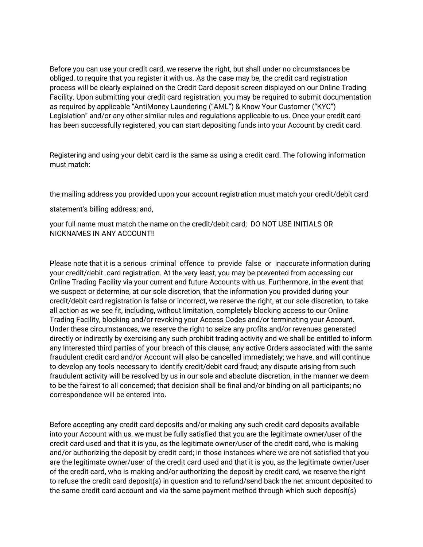Before you can use your credit card, we reserve the right, but shall under no circumstances be obliged, to require that you register it with us. As the case may be, the credit card registration process will be clearly explained on the Credit Card deposit screen displayed on our Online Trading Facility. Upon submitting your credit card registration, you may be required to submit documentation as required by applicable "AntiMoney Laundering ("AML") & Know Your Customer ("KYC") Legislation" and/or any other similar rules and regulations applicable to us. Once your credit card has been successfully registered, you can start depositing funds into your Account by credit card.

Registering and using your debit card is the same as using a credit card. The following information must match:

the mailing address you provided upon your account registration must match your credit/debit card

statement's billing address; and,

your full name must match the name on the credit/debit card; DO NOT USE INITIALS OR NICKNAMES IN ANY ACCOUNT!!

Please note that it is a serious criminal offence to provide false or inaccurate information during your credit/debit card registration. At the very least, you may be prevented from accessing our Online Trading Facility via your current and future Accounts with us. Furthermore, in the event that we suspect or determine, at our sole discretion, that the information you provided during your credit/debit card registration is false or incorrect, we reserve the right, at our sole discretion, to take all action as we see fit, including, without limitation, completely blocking access to our Online Trading Facility, blocking and/or revoking your Access Codes and/or terminating your Account. Under these circumstances, we reserve the right to seize any profits and/or revenues generated directly or indirectly by exercising any such prohibit trading activity and we shall be entitled to inform any Interested third parties of your breach of this clause; any active Orders associated with the same fraudulent credit card and/or Account will also be cancelled immediately; we have, and will continue to develop any tools necessary to identify credit/debit card fraud; any dispute arising from such fraudulent activity will be resolved by us in our sole and absolute discretion, in the manner we deem to be the fairest to all concerned; that decision shall be final and/or binding on all participants; no correspondence will be entered into.

Before accepting any credit card deposits and/or making any such credit card deposits available into your Account with us, we must be fully satisfied that you are the legitimate owner/user of the credit card used and that it is you, as the legitimate owner/user of the credit card, who is making and/or authorizing the deposit by credit card; in those instances where we are not satisfied that you are the legitimate owner/user of the credit card used and that it is you, as the legitimate owner/user of the credit card, who is making and/or authorizing the deposit by credit card, we reserve the right to refuse the credit card deposit(s) in question and to refund/send back the net amount deposited to the same credit card account and via the same payment method through which such deposit(s)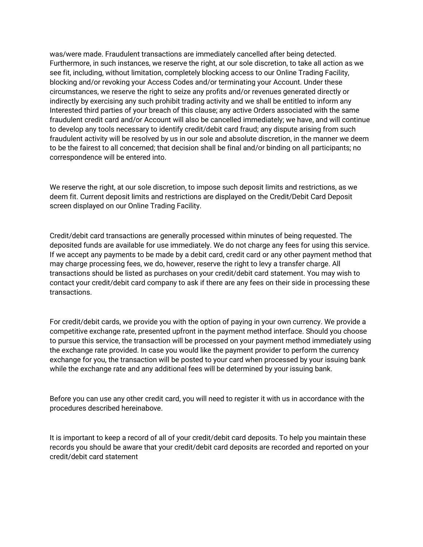was/were made. Fraudulent transactions are immediately cancelled after being detected. Furthermore, in such instances, we reserve the right, at our sole discretion, to take all action as we see fit, including, without limitation, completely blocking access to our Online Trading Facility, blocking and/or revoking your Access Codes and/or terminating your Account. Under these circumstances, we reserve the right to seize any profits and/or revenues generated directly or indirectly by exercising any such prohibit trading activity and we shall be entitled to inform any Interested third parties of your breach of this clause; any active Orders associated with the same fraudulent credit card and/or Account will also be cancelled immediately; we have, and will continue to develop any tools necessary to identify credit/debit card fraud; any dispute arising from such fraudulent activity will be resolved by us in our sole and absolute discretion, in the manner we deem to be the fairest to all concerned; that decision shall be final and/or binding on all participants; no correspondence will be entered into.

We reserve the right, at our sole discretion, to impose such deposit limits and restrictions, as we deem fit. Current deposit limits and restrictions are displayed on the Credit/Debit Card Deposit screen displayed on our Online Trading Facility.

Credit/debit card transactions are generally processed within minutes of being requested. The deposited funds are available for use immediately. We do not charge any fees for using this service. If we accept any payments to be made by a debit card, credit card or any other payment method that may charge processing fees, we do, however, reserve the right to levy a transfer charge. All transactions should be listed as purchases on your credit/debit card statement. You may wish to contact your credit/debit card company to ask if there are any fees on their side in processing these transactions.

For credit/debit cards, we provide you with the option of paying in your own currency. We provide a competitive exchange rate, presented upfront in the payment method interface. Should you choose to pursue this service, the transaction will be processed on your payment method immediately using the exchange rate provided. In case you would like the payment provider to perform the currency exchange for you, the transaction will be posted to your card when processed by your issuing bank while the exchange rate and any additional fees will be determined by your issuing bank.

Before you can use any other credit card, you will need to register it with us in accordance with the procedures described hereinabove.

It is important to keep a record of all of your credit/debit card deposits. To help you maintain these records you should be aware that your credit/debit card deposits are recorded and reported on your credit/debit card statement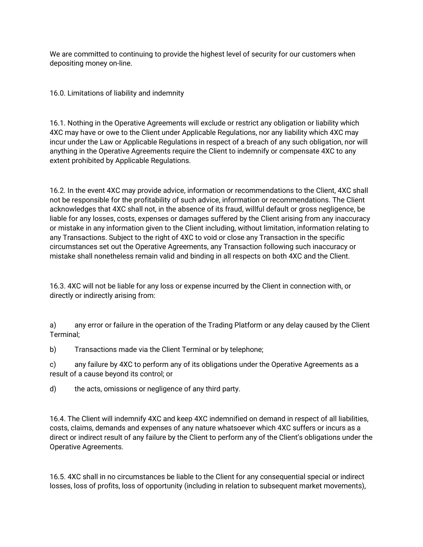We are committed to continuing to provide the highest level of security for our customers when depositing money on-line.

16.0. Limitations of liability and indemnity

16.1. Nothing in the Operative Agreements will exclude or restrict any obligation or liability which 4XC may have or owe to the Client under Applicable Regulations, nor any liability which 4XC may incur under the Law or Applicable Regulations in respect of a breach of any such obligation, nor will anything in the Operative Agreements require the Client to indemnify or compensate 4XC to any extent prohibited by Applicable Regulations.

16.2. In the event 4XC may provide advice, information or recommendations to the Client, 4XC shall not be responsible for the profitability of such advice, information or recommendations. The Client acknowledges that 4XC shall not, in the absence of its fraud, willful default or gross negligence, be liable for any losses, costs, expenses or damages suffered by the Client arising from any inaccuracy or mistake in any information given to the Client including, without limitation, information relating to any Transactions. Subject to the right of 4XC to void or close any Transaction in the specific circumstances set out the Operative Agreements, any Transaction following such inaccuracy or mistake shall nonetheless remain valid and binding in all respects on both 4XC and the Client.

16.3. 4XC will not be liable for any loss or expense incurred by the Client in connection with, or directly or indirectly arising from:

a) any error or failure in the operation of the Trading Platform or any delay caused by the Client Terminal;

b) Transactions made via the Client Terminal or by telephone;

c) any failure by 4XC to perform any of its obligations under the Operative Agreements as a result of a cause beyond its control; or

d) the acts, omissions or negligence of any third party.

16.4. The Client will indemnify 4XC and keep 4XC indemnified on demand in respect of all liabilities, costs, claims, demands and expenses of any nature whatsoever which 4XC suffers or incurs as a direct or indirect result of any failure by the Client to perform any of the Client's obligations under the Operative Agreements.

16.5. 4XC shall in no circumstances be liable to the Client for any consequential special or indirect losses, loss of profits, loss of opportunity (including in relation to subsequent market movements),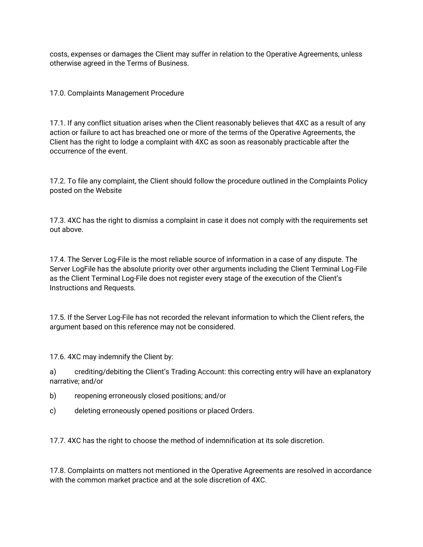costs, expenses or damages the Client may suffer in relation to the Operative Agreements, unless otherwise agreed in the Terms of Business.

17.0. Complaints Management Procedure

17.1. If any conflict situation arises when the Client reasonably believes that 4XC as a result of any action or failure to act has breached one or more of the terms of the Operative Agreements, the Client has the right to lodge a complaint with 4XC as soon as reasonably practicable after the occurrence of the event.

17.2. To file any complaint, the Client should follow the procedure outlined in the Complaints Policy posted on the Website

17.3. 4XC has the right to dismiss a complaint in case it does not comply with the requirements set out above.

17.4. The Server Log-File is the most reliable source of information in a case of any dispute. The Server LogFile has the absolute priority over other arguments including the Client Terminal Log-File as the Client Terminal Log-File does not register every stage of the execution of the Client's Instructions and Requests.

17.5. If the Server Log-File has not recorded the relevant information to which the Client refers, the argument based on this reference may not be considered.

17.6. 4XC may indemnify the Client by:

a) crediting/debiting the Client's Trading Account: this correcting entry will have an explanatory narrative; and/or

b) reopening erroneously closed positions; and/or

c) deleting erroneously opened positions or placed Orders.

17.7. 4XC has the right to choose the method of indemnification at its sole discretion.

17.8. Complaints on matters not mentioned in the Operative Agreements are resolved in accordance with the common market practice and at the sole discretion of 4XC.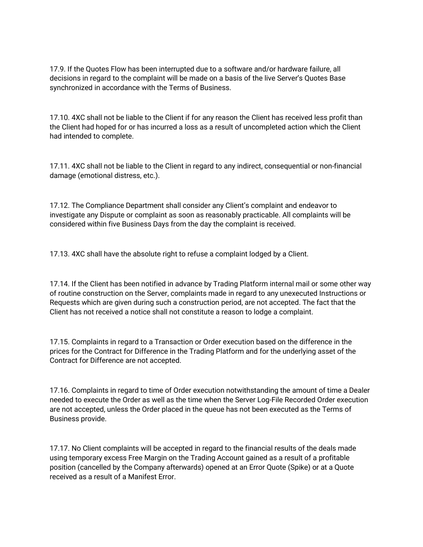17.9. If the Quotes Flow has been interrupted due to a software and/or hardware failure, all decisions in regard to the complaint will be made on a basis of the live Server's Quotes Base synchronized in accordance with the Terms of Business.

17.10. 4XC shall not be liable to the Client if for any reason the Client has received less profit than the Client had hoped for or has incurred a loss as a result of uncompleted action which the Client had intended to complete.

17.11. 4XC shall not be liable to the Client in regard to any indirect, consequential or non-financial damage (emotional distress, etc.).

17.12. The Compliance Department shall consider any Client's complaint and endeavor to investigate any Dispute or complaint as soon as reasonably practicable. All complaints will be considered within five Business Days from the day the complaint is received.

17.13. 4XC shall have the absolute right to refuse a complaint lodged by a Client.

17.14. If the Client has been notified in advance by Trading Platform internal mail or some other way of routine construction on the Server, complaints made in regard to any unexecuted Instructions or Requests which are given during such a construction period, are not accepted. The fact that the Client has not received a notice shall not constitute a reason to lodge a complaint.

17.15. Complaints in regard to a Transaction or Order execution based on the difference in the prices for the Contract for Difference in the Trading Platform and for the underlying asset of the Contract for Difference are not accepted.

17.16. Complaints in regard to time of Order execution notwithstanding the amount of time a Dealer needed to execute the Order as well as the time when the Server Log-File Recorded Order execution are not accepted, unless the Order placed in the queue has not been executed as the Terms of Business provide.

17.17. No Client complaints will be accepted in regard to the financial results of the deals made using temporary excess Free Margin on the Trading Account gained as a result of a profitable position (cancelled by the Company afterwards) opened at an Error Quote (Spike) or at a Quote received as a result of a Manifest Error.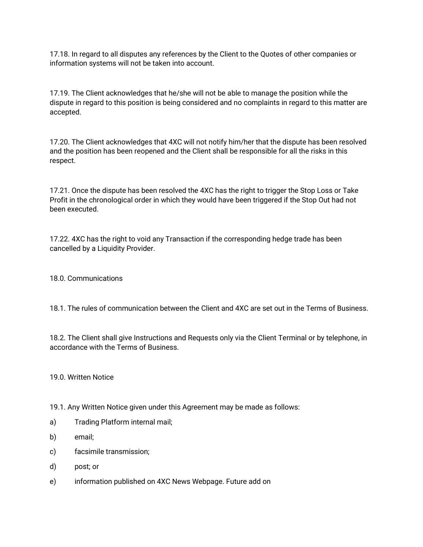17.18. In regard to all disputes any references by the Client to the Quotes of other companies or information systems will not be taken into account.

17.19. The Client acknowledges that he/she will not be able to manage the position while the dispute in regard to this position is being considered and no complaints in regard to this matter are accepted.

17.20. The Client acknowledges that 4XC will not notify him/her that the dispute has been resolved and the position has been reopened and the Client shall be responsible for all the risks in this respect.

17.21. Once the dispute has been resolved the 4XC has the right to trigger the Stop Loss or Take Profit in the chronological order in which they would have been triggered if the Stop Out had not been executed.

17.22. 4XC has the right to void any Transaction if the corresponding hedge trade has been cancelled by a Liquidity Provider.

#### 18.0. Communications

18.1. The rules of communication between the Client and 4XC are set out in the Terms of Business.

18.2. The Client shall give Instructions and Requests only via the Client Terminal or by telephone, in accordance with the Terms of Business.

19.0. Written Notice

19.1. Any Written Notice given under this Agreement may be made as follows:

- a) Trading Platform internal mail;
- b) email;
- c) facsimile transmission;
- d) post; or
- e) information published on 4XC News Webpage. Future add on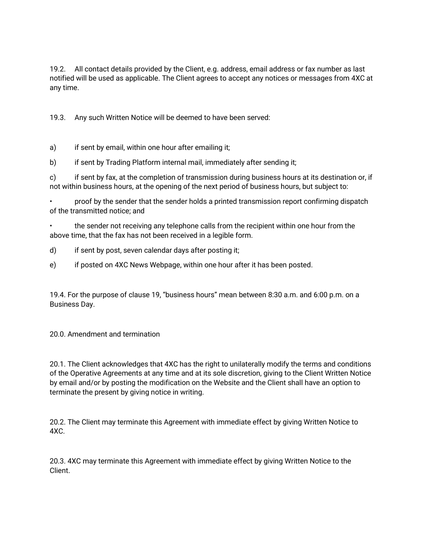19.2. All contact details provided by the Client, e.g. address, email address or fax number as last notified will be used as applicable. The Client agrees to accept any notices or messages from 4XC at any time.

19.3. Any such Written Notice will be deemed to have been served:

a) if sent by email, within one hour after emailing it;

b) if sent by Trading Platform internal mail, immediately after sending it;

c) if sent by fax, at the completion of transmission during business hours at its destination or, if not within business hours, at the opening of the next period of business hours, but subject to:

• proof by the sender that the sender holds a printed transmission report confirming dispatch of the transmitted notice; and

• the sender not receiving any telephone calls from the recipient within one hour from the above time, that the fax has not been received in a legible form.

d) if sent by post, seven calendar days after posting it;

e) if posted on 4XC News Webpage, within one hour after it has been posted.

19.4. For the purpose of clause 19, "business hours" mean between 8:30 a.m. and 6:00 p.m. on a Business Day.

20.0. Amendment and termination

20.1. The Client acknowledges that 4XC has the right to unilaterally modify the terms and conditions of the Operative Agreements at any time and at its sole discretion, giving to the Client Written Notice by email and/or by posting the modification on the Website and the Client shall have an option to terminate the present by giving notice in writing.

20.2. The Client may terminate this Agreement with immediate effect by giving Written Notice to 4XC.

20.3. 4XC may terminate this Agreement with immediate effect by giving Written Notice to the Client.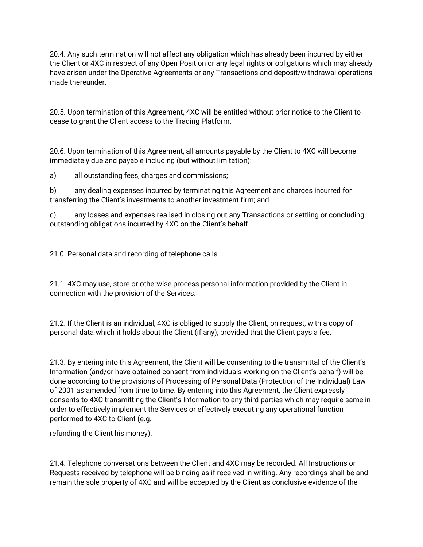20.4. Any such termination will not affect any obligation which has already been incurred by either the Client or 4XC in respect of any Open Position or any legal rights or obligations which may already have arisen under the Operative Agreements or any Transactions and deposit/withdrawal operations made thereunder.

20.5. Upon termination of this Agreement, 4XC will be entitled without prior notice to the Client to cease to grant the Client access to the Trading Platform.

20.6. Upon termination of this Agreement, all amounts payable by the Client to 4XC will become immediately due and payable including (but without limitation):

a) all outstanding fees, charges and commissions;

b) any dealing expenses incurred by terminating this Agreement and charges incurred for transferring the Client's investments to another investment firm; and

c) any losses and expenses realised in closing out any Transactions or settling or concluding outstanding obligations incurred by 4XC on the Client's behalf.

21.0. Personal data and recording of telephone calls

21.1. 4XC may use, store or otherwise process personal information provided by the Client in connection with the provision of the Services.

21.2. If the Client is an individual, 4XC is obliged to supply the Client, on request, with a copy of personal data which it holds about the Client (if any), provided that the Client pays a fee.

21.3. By entering into this Agreement, the Client will be consenting to the transmittal of the Client's Information (and/or have obtained consent from individuals working on the Client's behalf) will be done according to the provisions of Processing of Personal Data (Protection of the Individual) Law of 2001 as amended from time to time. By entering into this Agreement, the Client expressly consents to 4XC transmitting the Client's Information to any third parties which may require same in order to effectively implement the Services or effectively executing any operational function performed to 4XC to Client (e.g.

refunding the Client his money).

21.4. Telephone conversations between the Client and 4XC may be recorded. All Instructions or Requests received by telephone will be binding as if received in writing. Any recordings shall be and remain the sole property of 4XC and will be accepted by the Client as conclusive evidence of the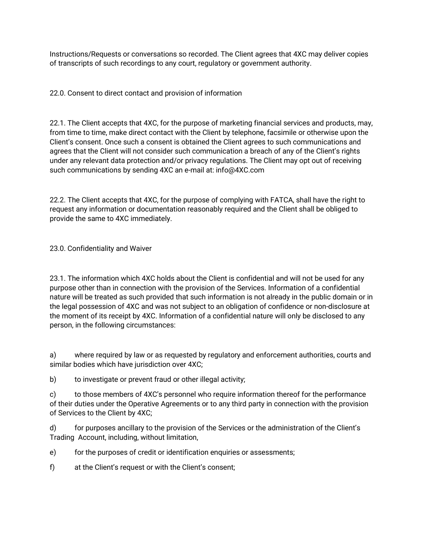Instructions/Requests or conversations so recorded. The Client agrees that 4XC may deliver copies of transcripts of such recordings to any court, regulatory or government authority.

22.0. Consent to direct contact and provision of information

22.1. The Client accepts that 4XC, for the purpose of marketing financial services and products, may, from time to time, make direct contact with the Client by telephone, facsimile or otherwise upon the Client's consent. Once such a consent is obtained the Client agrees to such communications and agrees that the Client will not consider such communication a breach of any of the Client's rights under any relevant data protection and/or privacy regulations. The Client may opt out of receiving such communications by sending 4XC an e-mail at: info@4XC.com

22.2. The Client accepts that 4XC, for the purpose of complying with FATCA, shall have the right to request any information or documentation reasonably required and the Client shall be obliged to provide the same to 4XC immediately.

23.0. Confidentiality and Waiver

23.1. The information which 4XC holds about the Client is confidential and will not be used for any purpose other than in connection with the provision of the Services. Information of a confidential nature will be treated as such provided that such information is not already in the public domain or in the legal possession of 4XC and was not subject to an obligation of confidence or non-disclosure at the moment of its receipt by 4XC. Information of a confidential nature will only be disclosed to any person, in the following circumstances:

a) where required by law or as requested by regulatory and enforcement authorities, courts and similar bodies which have jurisdiction over 4XC;

b) to investigate or prevent fraud or other illegal activity;

c) to those members of 4XC's personnel who require information thereof for the performance of their duties under the Operative Agreements or to any third party in connection with the provision of Services to the Client by 4XC;

d) for purposes ancillary to the provision of the Services or the administration of the Client's Trading Account, including, without limitation,

e) for the purposes of credit or identification enquiries or assessments;

f) at the Client's request or with the Client's consent;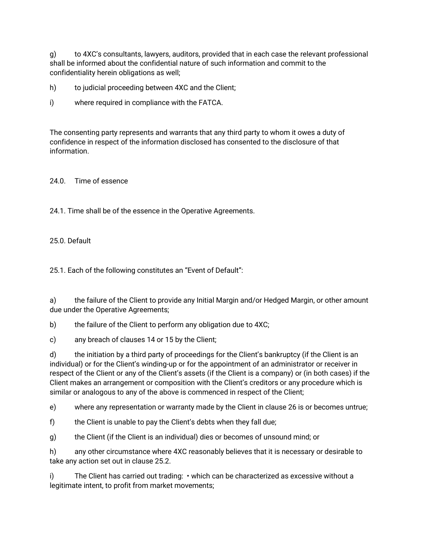g) to 4XC's consultants, lawyers, auditors, provided that in each case the relevant professional shall be informed about the confidential nature of such information and commit to the confidentiality herein obligations as well;

h) to judicial proceeding between 4XC and the Client;

i) where required in compliance with the FATCA.

The consenting party represents and warrants that any third party to whom it owes a duty of confidence in respect of the information disclosed has consented to the disclosure of that information.

24.0. Time of essence

24.1. Time shall be of the essence in the Operative Agreements.

#### 25.0. Default

25.1. Each of the following constitutes an "Event of Default":

a) the failure of the Client to provide any Initial Margin and/or Hedged Margin, or other amount due under the Operative Agreements;

b) the failure of the Client to perform any obligation due to 4XC;

c) any breach of clauses 14 or 15 by the Client;

d) the initiation by a third party of proceedings for the Client's bankruptcy (if the Client is an individual) or for the Client's winding-up or for the appointment of an administrator or receiver in respect of the Client or any of the Client's assets (if the Client is a company) or (in both cases) if the Client makes an arrangement or composition with the Client's creditors or any procedure which is similar or analogous to any of the above is commenced in respect of the Client;

e) where any representation or warranty made by the Client in clause 26 is or becomes untrue;

f) the Client is unable to pay the Client's debts when they fall due;

g) the Client (if the Client is an individual) dies or becomes of unsound mind; or

h) any other circumstance where 4XC reasonably believes that it is necessary or desirable to take any action set out in clause 25.2.

i) The Client has carried out trading: • which can be characterized as excessive without a legitimate intent, to profit from market movements;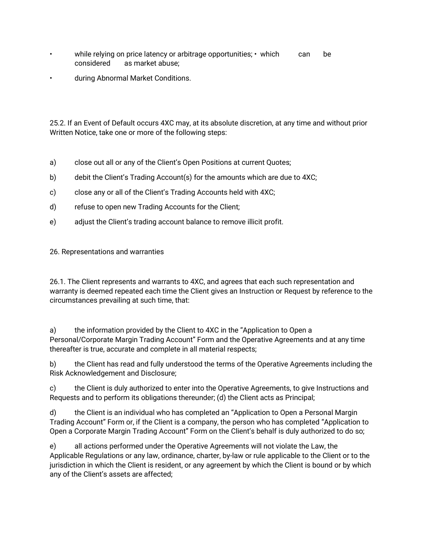- while relying on price latency or arbitrage opportunities; which can be considered as market abuse;
- during Abnormal Market Conditions.

25.2. If an Event of Default occurs 4XC may, at its absolute discretion, at any time and without prior Written Notice, take one or more of the following steps:

- a) close out all or any of the Client's Open Positions at current Quotes;
- b) debit the Client's Trading Account(s) for the amounts which are due to 4XC;
- c) close any or all of the Client's Trading Accounts held with 4XC;
- d) refuse to open new Trading Accounts for the Client;
- e) adjust the Client's trading account balance to remove illicit profit.

26. Representations and warranties

26.1. The Client represents and warrants to 4XC, and agrees that each such representation and warranty is deemed repeated each time the Client gives an Instruction or Request by reference to the circumstances prevailing at such time, that:

a) the information provided by the Client to 4XC in the "Application to Open a Personal/Corporate Margin Trading Account" Form and the Operative Agreements and at any time thereafter is true, accurate and complete in all material respects;

b) the Client has read and fully understood the terms of the Operative Agreements including the Risk Acknowledgement and Disclosure;

c) the Client is duly authorized to enter into the Operative Agreements, to give Instructions and Requests and to perform its obligations thereunder; (d) the Client acts as Principal;

d) the Client is an individual who has completed an "Application to Open a Personal Margin Trading Account" Form or, if the Client is a company, the person who has completed "Application to Open a Corporate Margin Trading Account" Form on the Client's behalf is duly authorized to do so;

e) all actions performed under the Operative Agreements will not violate the Law, the Applicable Regulations or any law, ordinance, charter, by-law or rule applicable to the Client or to the jurisdiction in which the Client is resident, or any agreement by which the Client is bound or by which any of the Client's assets are affected;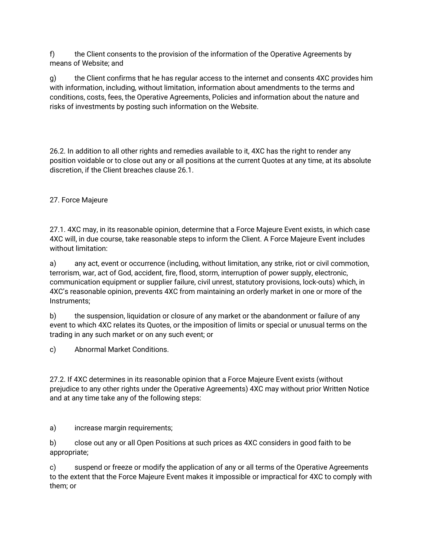f) the Client consents to the provision of the information of the Operative Agreements by means of Website; and

g) the Client confirms that he has regular access to the internet and consents 4XC provides him with information, including, without limitation, information about amendments to the terms and conditions, costs, fees, the Operative Agreements, Policies and information about the nature and risks of investments by posting such information on the Website.

26.2. In addition to all other rights and remedies available to it, 4XC has the right to render any position voidable or to close out any or all positions at the current Quotes at any time, at its absolute discretion, if the Client breaches clause 26.1.

#### 27. Force Majeure

27.1. 4XC may, in its reasonable opinion, determine that a Force Majeure Event exists, in which case 4XC will, in due course, take reasonable steps to inform the Client. A Force Majeure Event includes without limitation:

a) any act, event or occurrence (including, without limitation, any strike, riot or civil commotion, terrorism, war, act of God, accident, fire, flood, storm, interruption of power supply, electronic, communication equipment or supplier failure, civil unrest, statutory provisions, lock-outs) which, in 4XC's reasonable opinion, prevents 4XC from maintaining an orderly market in one or more of the Instruments;

b) the suspension, liquidation or closure of any market or the abandonment or failure of any event to which 4XC relates its Quotes, or the imposition of limits or special or unusual terms on the trading in any such market or on any such event; or

c) Abnormal Market Conditions.

27.2. If 4XC determines in its reasonable opinion that a Force Majeure Event exists (without prejudice to any other rights under the Operative Agreements) 4XC may without prior Written Notice and at any time take any of the following steps:

a) increase margin requirements;

b) close out any or all Open Positions at such prices as 4XC considers in good faith to be appropriate;

c) suspend or freeze or modify the application of any or all terms of the Operative Agreements to the extent that the Force Majeure Event makes it impossible or impractical for 4XC to comply with them; or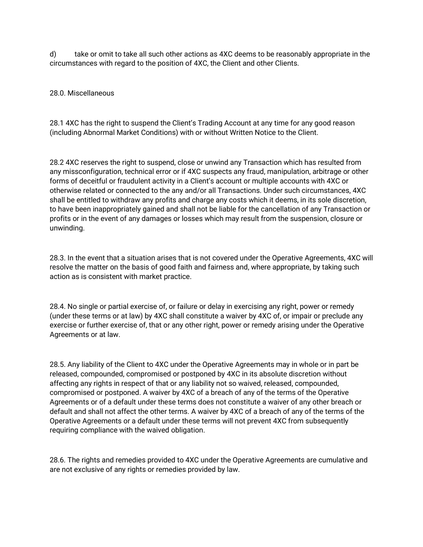d) take or omit to take all such other actions as 4XC deems to be reasonably appropriate in the circumstances with regard to the position of 4XC, the Client and other Clients.

#### 28.0. Miscellaneous

28.1 4XC has the right to suspend the Client's Trading Account at any time for any good reason (including Abnormal Market Conditions) with or without Written Notice to the Client.

28.2 4XC reserves the right to suspend, close or unwind any Transaction which has resulted from any missconfiguration, technical error or if 4XC suspects any fraud, manipulation, arbitrage or other forms of deceitful or fraudulent activity in a Client's account or multiple accounts with 4XC or otherwise related or connected to the any and/or all Transactions. Under such circumstances, 4XC shall be entitled to withdraw any profits and charge any costs which it deems, in its sole discretion, to have been inappropriately gained and shall not be liable for the cancellation of any Transaction or profits or in the event of any damages or losses which may result from the suspension, closure or unwinding.

28.3. In the event that a situation arises that is not covered under the Operative Agreements, 4XC will resolve the matter on the basis of good faith and fairness and, where appropriate, by taking such action as is consistent with market practice.

28.4. No single or partial exercise of, or failure or delay in exercising any right, power or remedy (under these terms or at law) by 4XC shall constitute a waiver by 4XC of, or impair or preclude any exercise or further exercise of, that or any other right, power or remedy arising under the Operative Agreements or at law.

28.5. Any liability of the Client to 4XC under the Operative Agreements may in whole or in part be released, compounded, compromised or postponed by 4XC in its absolute discretion without affecting any rights in respect of that or any liability not so waived, released, compounded, compromised or postponed. A waiver by 4XC of a breach of any of the terms of the Operative Agreements or of a default under these terms does not constitute a waiver of any other breach or default and shall not affect the other terms. A waiver by 4XC of a breach of any of the terms of the Operative Agreements or a default under these terms will not prevent 4XC from subsequently requiring compliance with the waived obligation.

28.6. The rights and remedies provided to 4XC under the Operative Agreements are cumulative and are not exclusive of any rights or remedies provided by law.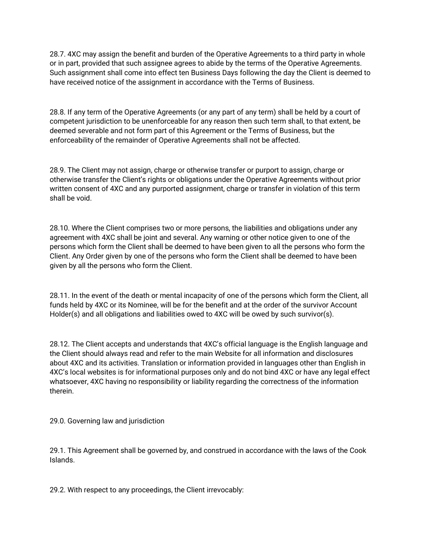28.7. 4XC may assign the benefit and burden of the Operative Agreements to a third party in whole or in part, provided that such assignee agrees to abide by the terms of the Operative Agreements. Such assignment shall come into effect ten Business Days following the day the Client is deemed to have received notice of the assignment in accordance with the Terms of Business.

28.8. If any term of the Operative Agreements (or any part of any term) shall be held by a court of competent jurisdiction to be unenforceable for any reason then such term shall, to that extent, be deemed severable and not form part of this Agreement or the Terms of Business, but the enforceability of the remainder of Operative Agreements shall not be affected.

28.9. The Client may not assign, charge or otherwise transfer or purport to assign, charge or otherwise transfer the Client's rights or obligations under the Operative Agreements without prior written consent of 4XC and any purported assignment, charge or transfer in violation of this term shall be void.

28.10. Where the Client comprises two or more persons, the liabilities and obligations under any agreement with 4XC shall be joint and several. Any warning or other notice given to one of the persons which form the Client shall be deemed to have been given to all the persons who form the Client. Any Order given by one of the persons who form the Client shall be deemed to have been given by all the persons who form the Client.

28.11. In the event of the death or mental incapacity of one of the persons which form the Client, all funds held by 4XC or its Nominee, will be for the benefit and at the order of the survivor Account Holder(s) and all obligations and liabilities owed to 4XC will be owed by such survivor(s).

28.12. The Client accepts and understands that 4XC's official language is the English language and the Client should always read and refer to the main Website for all information and disclosures about 4XC and its activities. Translation or information provided in languages other than English in 4XC's local websites is for informational purposes only and do not bind 4XC or have any legal effect whatsoever, 4XC having no responsibility or liability regarding the correctness of the information therein.

29.0. Governing law and jurisdiction

29.1. This Agreement shall be governed by, and construed in accordance with the laws of the Cook Islands.

29.2. With respect to any proceedings, the Client irrevocably: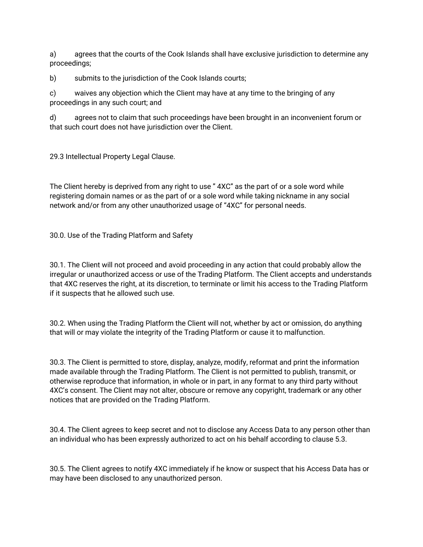a) agrees that the courts of the Cook Islands shall have exclusive jurisdiction to determine any proceedings;

b) submits to the jurisdiction of the Cook Islands courts;

c) waives any objection which the Client may have at any time to the bringing of any proceedings in any such court; and

d) agrees not to claim that such proceedings have been brought in an inconvenient forum or that such court does not have jurisdiction over the Client.

29.3 Intellectual Property Legal Clause.

The Client hereby is deprived from any right to use " 4XC" as the part of or a sole word while registering domain names or as the part of or a sole word while taking nickname in any social network and/or from any other unauthorized usage of "4XC" for personal needs.

30.0. Use of the Trading Platform and Safety

30.1. The Client will not proceed and avoid proceeding in any action that could probably allow the irregular or unauthorized access or use of the Trading Platform. The Client accepts and understands that 4XC reserves the right, at its discretion, to terminate or limit his access to the Trading Platform if it suspects that he allowed such use.

30.2. When using the Trading Platform the Client will not, whether by act or omission, do anything that will or may violate the integrity of the Trading Platform or cause it to malfunction.

30.3. The Client is permitted to store, display, analyze, modify, reformat and print the information made available through the Trading Platform. The Client is not permitted to publish, transmit, or otherwise reproduce that information, in whole or in part, in any format to any third party without 4XC's consent. The Client may not alter, obscure or remove any copyright, trademark or any other notices that are provided on the Trading Platform.

30.4. The Client agrees to keep secret and not to disclose any Access Data to any person other than an individual who has been expressly authorized to act on his behalf according to clause 5.3.

30.5. The Client agrees to notify 4XC immediately if he know or suspect that his Access Data has or may have been disclosed to any unauthorized person.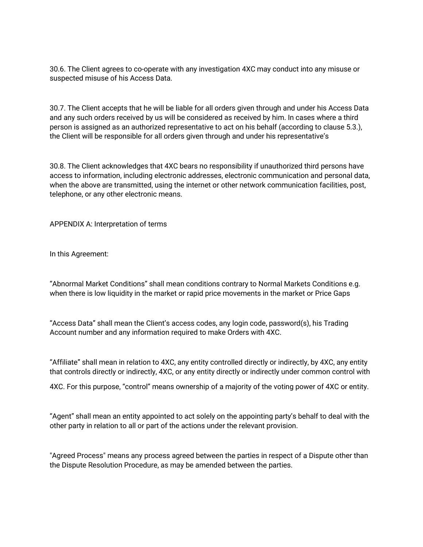30.6. The Client agrees to co-operate with any investigation 4XC may conduct into any misuse or suspected misuse of his Access Data.

30.7. The Client accepts that he will be liable for all orders given through and under his Access Data and any such orders received by us will be considered as received by him. In cases where a third person is assigned as an authorized representative to act on his behalf (according to clause 5.3.), the Client will be responsible for all orders given through and under his representative's

30.8. The Client acknowledges that 4XC bears no responsibility if unauthorized third persons have access to information, including electronic addresses, electronic communication and personal data, when the above are transmitted, using the internet or other network communication facilities, post, telephone, or any other electronic means.

APPENDIX A: Interpretation of terms

In this Agreement:

"Abnormal Market Conditions" shall mean conditions contrary to Normal Markets Conditions e.g. when there is low liquidity in the market or rapid price movements in the market or Price Gaps

"Access Data" shall mean the Client's access codes, any login code, password(s), his Trading Account number and any information required to make Orders with 4XC.

"Affiliate" shall mean in relation to 4XC, any entity controlled directly or indirectly, by 4XC, any entity that controls directly or indirectly, 4XC, or any entity directly or indirectly under common control with

4XC. For this purpose, "control" means ownership of a majority of the voting power of 4XC or entity.

"Agent" shall mean an entity appointed to act solely on the appointing party's behalf to deal with the other party in relation to all or part of the actions under the relevant provision.

"Agreed Process" means any process agreed between the parties in respect of a Dispute other than the Dispute Resolution Procedure, as may be amended between the parties.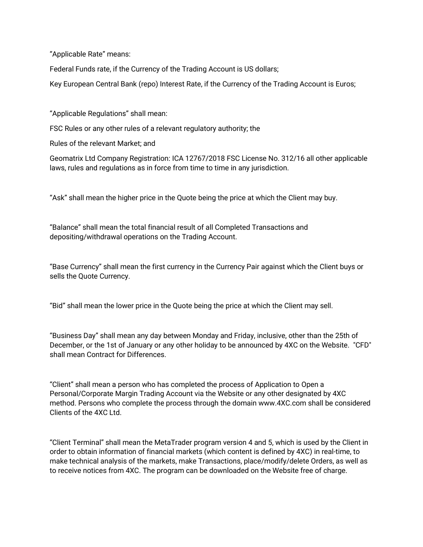"Applicable Rate" means:

Federal Funds rate, if the Currency of the Trading Account is US dollars;

Key European Central Bank (repo) Interest Rate, if the Currency of the Trading Account is Euros;

"Applicable Regulations" shall mean:

FSC Rules or any other rules of a relevant regulatory authority; the

Rules of the relevant Market; and

Geomatrix Ltd Company Registration: ICA 12767/2018 FSC License No. 312/16 all other applicable laws, rules and regulations as in force from time to time in any jurisdiction.

"Ask" shall mean the higher price in the Quote being the price at which the Client may buy.

"Balance" shall mean the total financial result of all Completed Transactions and depositing/withdrawal operations on the Trading Account.

"Base Currency" shall mean the first currency in the Currency Pair against which the Client buys or sells the Quote Currency.

"Bid" shall mean the lower price in the Quote being the price at which the Client may sell.

"Business Day" shall mean any day between Monday and Friday, inclusive, other than the 25th of December, or the 1st of January or any other holiday to be announced by 4XC on the Website. "CFD" shall mean Contract for Differences.

"Client" shall mean a person who has completed the process of Application to Open a Personal/Corporate Margin Trading Account via the Website or any other designated by 4XC method. Persons who complete the process through the domain www.4XC.com shall be considered Clients of the 4XC Ltd.

"Client Terminal" shall mean the MetaTrader program version 4 and 5, which is used by the Client in order to obtain information of financial markets (which content is defined by 4XC) in real-time, to make technical analysis of the markets, make Transactions, place/modify/delete Orders, as well as to receive notices from 4XC. The program can be downloaded on the Website free of charge.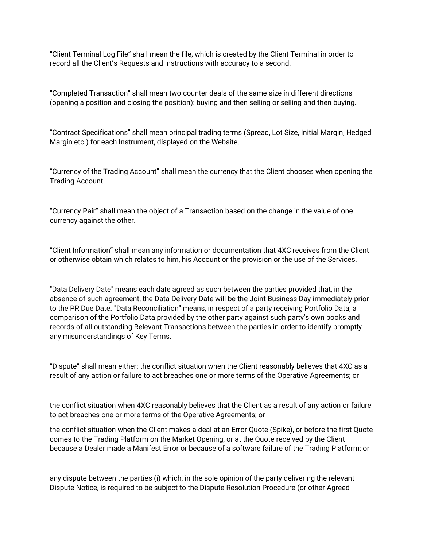"Client Terminal Log File" shall mean the file, which is created by the Client Terminal in order to record all the Client's Requests and Instructions with accuracy to a second.

"Completed Transaction" shall mean two counter deals of the same size in different directions (opening a position and closing the position): buying and then selling or selling and then buying.

"Contract Specifications" shall mean principal trading terms (Spread, Lot Size, Initial Margin, Hedged Margin etc.) for each Instrument, displayed on the Website.

"Currency of the Trading Account" shall mean the currency that the Client chooses when opening the Trading Account.

"Currency Pair" shall mean the object of a Transaction based on the change in the value of one currency against the other.

"Client Information" shall mean any information or documentation that 4XC receives from the Client or otherwise obtain which relates to him, his Account or the provision or the use of the Services.

"Data Delivery Date" means each date agreed as such between the parties provided that, in the absence of such agreement, the Data Delivery Date will be the Joint Business Day immediately prior to the PR Due Date. "Data Reconciliation" means, in respect of a party receiving Portfolio Data, a comparison of the Portfolio Data provided by the other party against such party's own books and records of all outstanding Relevant Transactions between the parties in order to identify promptly any misunderstandings of Key Terms.

"Dispute" shall mean either: the conflict situation when the Client reasonably believes that 4XC as a result of any action or failure to act breaches one or more terms of the Operative Agreements; or

the conflict situation when 4XC reasonably believes that the Client as a result of any action or failure to act breaches one or more terms of the Operative Agreements; or

the conflict situation when the Client makes a deal at an Error Quote (Spike), or before the first Quote comes to the Trading Platform on the Market Opening, or at the Quote received by the Client because a Dealer made a Manifest Error or because of a software failure of the Trading Platform; or

any dispute between the parties (i) which, in the sole opinion of the party delivering the relevant Dispute Notice, is required to be subject to the Dispute Resolution Procedure (or other Agreed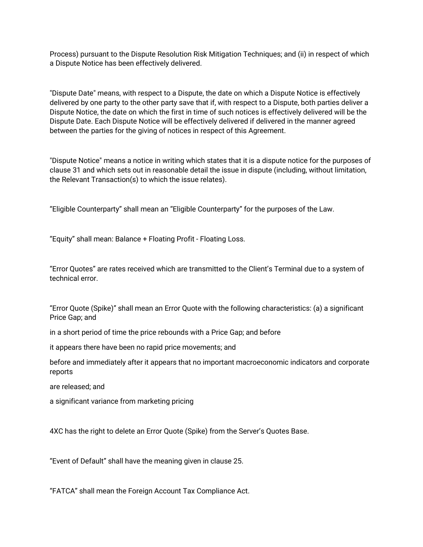Process) pursuant to the Dispute Resolution Risk Mitigation Techniques; and (ii) in respect of which a Dispute Notice has been effectively delivered.

"Dispute Date" means, with respect to a Dispute, the date on which a Dispute Notice is effectively delivered by one party to the other party save that if, with respect to a Dispute, both parties deliver a Dispute Notice, the date on which the first in time of such notices is effectively delivered will be the Dispute Date. Each Dispute Notice will be effectively delivered if delivered in the manner agreed between the parties for the giving of notices in respect of this Agreement.

"Dispute Notice" means a notice in writing which states that it is a dispute notice for the purposes of clause 31 and which sets out in reasonable detail the issue in dispute (including, without limitation, the Relevant Transaction(s) to which the issue relates).

"Eligible Counterparty" shall mean an "Eligible Counterparty" for the purposes of the Law.

"Equity" shall mean: Balance + Floating Profit - Floating Loss.

"Error Quotes" are rates received which are transmitted to the Client's Terminal due to a system of technical error.

"Error Quote (Spike)" shall mean an Error Quote with the following characteristics: (a) a significant Price Gap; and

in a short period of time the price rebounds with a Price Gap; and before

it appears there have been no rapid price movements; and

before and immediately after it appears that no important macroeconomic indicators and corporate reports

are released; and

a significant variance from marketing pricing

4XC has the right to delete an Error Quote (Spike) from the Server's Quotes Base.

"Event of Default" shall have the meaning given in clause 25.

"FATCA" shall mean the Foreign Account Tax Compliance Act.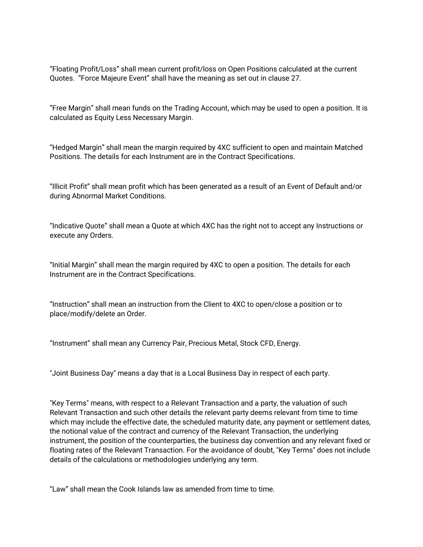"Floating Profit/Loss" shall mean current profit/loss on Open Positions calculated at the current Quotes. "Force Majeure Event" shall have the meaning as set out in clause 27.

"Free Margin" shall mean funds on the Trading Account, which may be used to open a position. It is calculated as Equity Less Necessary Margin.

"Hedged Margin" shall mean the margin required by 4XC sufficient to open and maintain Matched Positions. The details for each Instrument are in the Contract Specifications.

"Illicit Profit" shall mean profit which has been generated as a result of an Event of Default and/or during Abnormal Market Conditions.

"Indicative Quote" shall mean a Quote at which 4XC has the right not to accept any Instructions or execute any Orders.

"Initial Margin" shall mean the margin required by 4XC to open a position. The details for each Instrument are in the Contract Specifications.

"Instruction" shall mean an instruction from the Client to 4XC to open/close a position or to place/modify/delete an Order.

"Instrument" shall mean any Currency Pair, Precious Metal, Stock CFD, Energy.

"Joint Business Day" means a day that is a Local Business Day in respect of each party.

"Key Terms" means, with respect to a Relevant Transaction and a party, the valuation of such Relevant Transaction and such other details the relevant party deems relevant from time to time which may include the effective date, the scheduled maturity date, any payment or settlement dates, the notional value of the contract and currency of the Relevant Transaction, the underlying instrument, the position of the counterparties, the business day convention and any relevant fixed or floating rates of the Relevant Transaction. For the avoidance of doubt, "Key Terms" does not include details of the calculations or methodologies underlying any term.

"Law" shall mean the Cook Islands law as amended from time to time.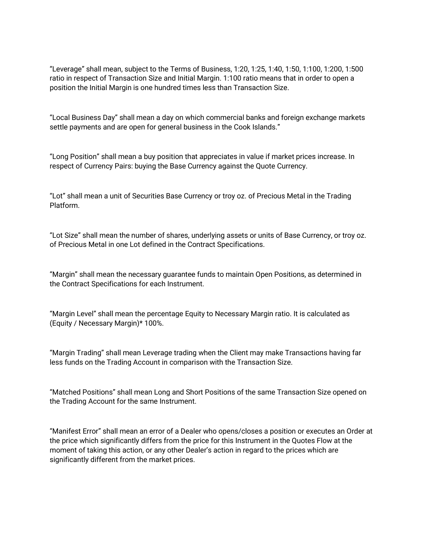"Leverage" shall mean, subject to the Terms of Business, 1:20, 1:25, 1:40, 1:50, 1:100, 1:200, 1:500 ratio in respect of Transaction Size and Initial Margin. 1:100 ratio means that in order to open a position the Initial Margin is one hundred times less than Transaction Size.

"Local Business Day" shall mean a day on which commercial banks and foreign exchange markets settle payments and are open for general business in the Cook Islands."

"Long Position" shall mean a buy position that appreciates in value if market prices increase. In respect of Currency Pairs: buying the Base Currency against the Quote Currency.

"Lot" shall mean a unit of Securities Base Currency or troy oz. of Precious Metal in the Trading Platform.

"Lot Size" shall mean the number of shares, underlying assets or units of Base Currency, or troy oz. of Precious Metal in one Lot defined in the Contract Specifications.

"Margin" shall mean the necessary guarantee funds to maintain Open Positions, as determined in the Contract Specifications for each Instrument.

"Маrgin Level" shall mean the percentage Equity to Necessary Margin ratio. It is calculated as (Equity / Necessary Margin)\* 100%.

"Margin Trading" shall mean Leverage trading when the Client may make Transactions having far less funds on the Trading Account in comparison with the Transaction Size.

"Matched Positions" shall mean Long and Short Positions of the same Transaction Size opened on the Trading Account for the same Instrument.

"Manifest Error" shall mean an error of a Dealer who opens/closes a position or executes an Order at the price which significantly differs from the price for this Instrument in the Quotes Flow at the moment of taking this action, or any other Dealer's action in regard to the prices which are significantly different from the market prices.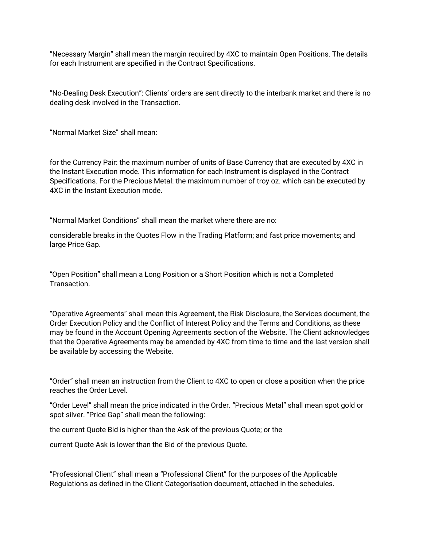"Necessary Margin" shall mean the margin required by 4XC to maintain Open Positions. The details for each Instrument are specified in the Contract Specifications.

"No-Dealing Desk Execution": Clients' orders are sent directly to the interbank market and there is no dealing desk involved in the Transaction.

"Normal Market Size" shall mean:

for the Currency Pair: the maximum number of units of Base Currency that are executed by 4XC in the Instant Execution mode. This information for each Instrument is displayed in the Contract Specifications. For the Precious Metal: the maximum number of troy oz. which can be executed by 4XC in the Instant Execution mode.

"Normal Market Conditions" shall mean the market where there are no:

considerable breaks in the Quotes Flow in the Trading Platform; and fast price movements; and large Price Gap.

"Open Position" shall mean a Long Position or a Short Position which is not a Completed Transaction.

"Operative Agreements" shall mean this Agreement, the Risk Disclosure, the Services document, the Order Execution Policy and the Conflict of Interest Policy and the Terms and Conditions, as these may be found in the Account Opening Agreements section of the Website. The Client acknowledges that the Operative Agreements may be amended by 4XC from time to time and the last version shall be available by accessing the Website.

"Order" shall mean an instruction from the Client to 4XC to open or close a position when the price reaches the Order Level.

"Order Level" shall mean the price indicated in the Order. "Precious Metal" shall mean spot gold or spot silver. "Price Gap" shall mean the following:

the current Quote Bid is higher than the Ask of the previous Quote; or the

current Quote Ask is lower than the Bid of the previous Quote.

"Professional Client" shall mean a "Professional Client" for the purposes of the Applicable Regulations as defined in the Client Categorisation document, attached in the schedules.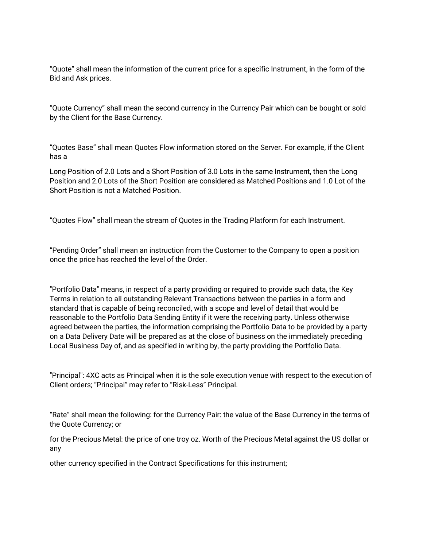"Quote" shall mean the information of the current price for a specific Instrument, in the form of the Bid and Ask prices.

"Quote Currency" shall mean the second currency in the Currency Pair which can be bought or sold by the Client for the Base Currency.

"Quotes Base" shall mean Quotes Flow information stored on the Server. For example, if the Client has a

Long Position of 2.0 Lots and a Short Position of 3.0 Lots in the same Instrument, then the Long Position and 2.0 Lots of the Short Position are considered as Matched Positions and 1.0 Lot of the Short Position is not a Matched Position.

"Quotes Flow" shall mean the stream of Quotes in the Trading Platform for each Instrument.

"Pending Order" shall mean an instruction from the Customer to the Company to open a position once the price has reached the level of the Order.

"Portfolio Data" means, in respect of a party providing or required to provide such data, the Key Terms in relation to all outstanding Relevant Transactions between the parties in a form and standard that is capable of being reconciled, with a scope and level of detail that would be reasonable to the Portfolio Data Sending Entity if it were the receiving party. Unless otherwise agreed between the parties, the information comprising the Portfolio Data to be provided by a party on a Data Delivery Date will be prepared as at the close of business on the immediately preceding Local Business Day of, and as specified in writing by, the party providing the Portfolio Data.

"Principal": 4XC acts as Principal when it is the sole execution venue with respect to the execution of Client orders; "Principal" may refer to "Risk-Less" Principal.

"Rate" shall mean the following: for the Currency Pair: the value of the Base Currency in the terms of the Quote Currency; or

for the Precious Metal: the price of one troy oz. Worth of the Precious Metal against the US dollar or any

other currency specified in the Contract Specifications for this instrument;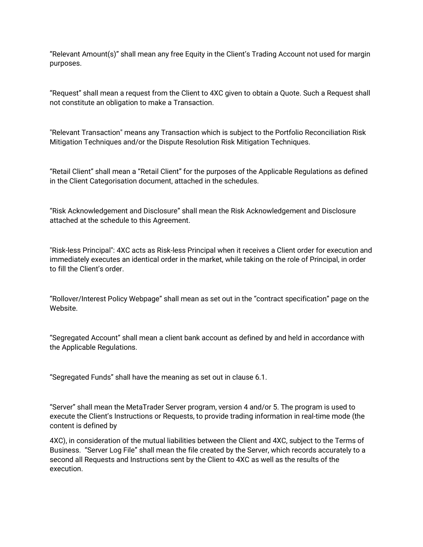"Relevant Amount(s)" shall mean any free Equity in the Client's Trading Account not used for margin purposes.

"Request" shall mean a request from the Client to 4XC given to obtain a Quote. Such a Request shall not constitute an obligation to make a Transaction.

"Relevant Transaction" means any Transaction which is subject to the Portfolio Reconciliation Risk Mitigation Techniques and/or the Dispute Resolution Risk Mitigation Techniques.

"Retail Client" shall mean a "Retail Client" for the purposes of the Applicable Regulations as defined in the Client Categorisation document, attached in the schedules.

"Risk Acknowledgement and Disclosure" shall mean the Risk Acknowledgement and Disclosure attached at the schedule to this Agreement.

"Risk-less Principal": 4XC acts as Risk-less Principal when it receives a Client order for execution and immediately executes an identical order in the market, while taking on the role of Principal, in order to fill the Client's order.

"Rollover/Interest Policy Webpage" shall mean as set out in the "contract specification" page on the Website.

"Segregated Account" shall mean a client bank account as defined by and held in accordance with the Applicable Regulations.

"Segregated Funds" shall have the meaning as set out in clause 6.1.

"Server" shall mean the MetaTrader Server program, version 4 and/or 5. The program is used to execute the Client's Instructions or Requests, to provide trading information in real-time mode (the content is defined by

4XC), in consideration of the mutual liabilities between the Client and 4XC, subject to the Terms of Business. "Server Log File" shall mean the file created by the Server, which records accurately to a second all Requests and Instructions sent by the Client to 4XC as well as the results of the execution.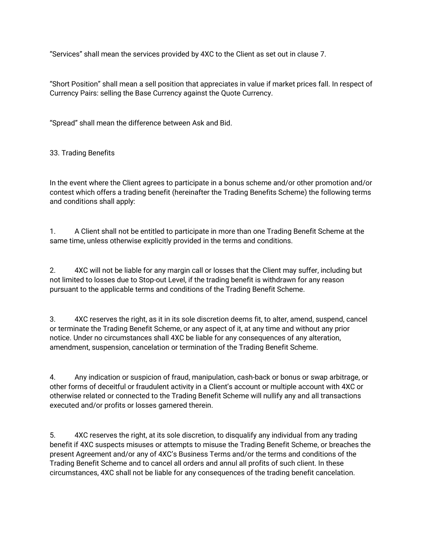"Services" shall mean the services provided by 4XC to the Client as set out in clause 7.

"Short Position" shall mean a sell position that appreciates in value if market prices fall. In respect of Currency Pairs: selling the Base Currency against the Quote Currency.

"Spread" shall mean the difference between Ask and Bid.

#### 33. Trading Benefits

In the event where the Client agrees to participate in a bonus scheme and/or other promotion and/or contest which offers a trading benefit (hereinafter the Trading Benefits Scheme) the following terms and conditions shall apply:

1. A Client shall not be entitled to participate in more than one Trading Benefit Scheme at the same time, unless otherwise explicitly provided in the terms and conditions.

2. 4XC will not be liable for any margin call or losses that the Client may suffer, including but not limited to losses due to Stop-out Level, if the trading benefit is withdrawn for any reason pursuant to the applicable terms and conditions of the Trading Benefit Scheme.

3. 4XC reserves the right, as it in its sole discretion deems fit, to alter, amend, suspend, cancel or terminate the Trading Benefit Scheme, or any aspect of it, at any time and without any prior notice. Under no circumstances shall 4XC be liable for any consequences of any alteration, amendment, suspension, cancelation or termination of the Trading Benefit Scheme.

4. Any indication or suspicion of fraud, manipulation, cash-back or bonus or swap arbitrage, or other forms of deceitful or fraudulent activity in a Client's account or multiple account with 4XC or otherwise related or connected to the Trading Benefit Scheme will nullify any and all transactions executed and/or profits or losses garnered therein.

5. 4XC reserves the right, at its sole discretion, to disqualify any individual from any trading benefit if 4XC suspects misuses or attempts to misuse the Trading Benefit Scheme, or breaches the present Agreement and/or any of 4XC's Business Terms and/or the terms and conditions of the Trading Benefit Scheme and to cancel all orders and annul all profits of such client. In these circumstances, 4XC shall not be liable for any consequences of the trading benefit cancelation.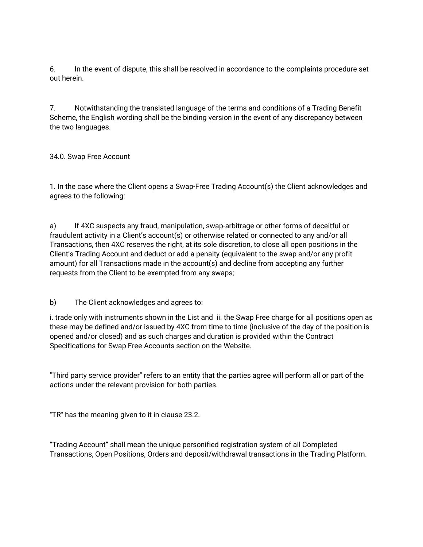6. In the event of dispute, this shall be resolved in accordance to the complaints procedure set out herein.

7. Notwithstanding the translated language of the terms and conditions of a Trading Benefit Scheme, the English wording shall be the binding version in the event of any discrepancy between the two languages.

34.0. Swap Free Account

1. In the case where the Client opens a Swap-Free Trading Account(s) the Client acknowledges and agrees to the following:

a) If 4XC suspects any fraud, manipulation, swap-arbitrage or other forms of deceitful or fraudulent activity in a Client's account(s) or otherwise related or connected to any and/or all Transactions, then 4XC reserves the right, at its sole discretion, to close all open positions in the Client's Trading Account and deduct or add a penalty (equivalent to the swap and/or any profit amount) for all Transactions made in the account(s) and decline from accepting any further requests from the Client to be exempted from any swaps;

b) The Client acknowledges and agrees to:

i. trade only with instruments shown in the List and ii. the Swap Free charge for all positions open as these may be defined and/or issued by 4XC from time to time (inclusive of the day of the position is opened and/or closed) and as such charges and duration is provided within the Contract Specifications for Swap Free Accounts section on the Website.

"Third party service provider" refers to an entity that the parties agree will perform all or part of the actions under the relevant provision for both parties.

"TR" has the meaning given to it in clause 23.2.

"Trading Account" shall mean the unique personified registration system of all Completed Transactions, Open Positions, Orders and deposit/withdrawal transactions in the Trading Platform.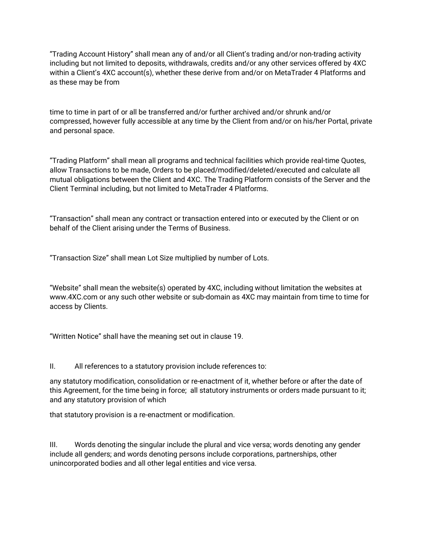"Trading Account History" shall mean any of and/or all Client's trading and/or non-trading activity including but not limited to deposits, withdrawals, credits and/or any other services offered by 4XC within a Client's 4XC account(s), whether these derive from and/or on MetaTrader 4 Platforms and as these may be from

time to time in part of or all be transferred and/or further archived and/or shrunk and/or compressed, however fully accessible at any time by the Client from and/or on his/her Portal, private and personal space.

"Trading Platform" shall mean all programs and technical facilities which provide real-time Quotes, allow Transactions to be made, Orders to be placed/modified/deleted/executed and calculate all mutual obligations between the Client and 4XC. The Trading Platform consists of the Server and the Client Terminal including, but not limited to MetaTrader 4 Platforms.

"Transaction" shall mean any contract or transaction entered into or executed by the Client or on behalf of the Client arising under the Terms of Business.

"Transaction Size" shall mean Lot Size multiplied by number of Lots.

"Website" shall mean the website(s) operated by 4XC, including without limitation the websites at www.4XC.com or any such other website or sub-domain as 4XC may maintain from time to time for access by Clients.

"Written Notice" shall have the meaning set out in clause 19.

II. All references to a statutory provision include references to:

any statutory modification, consolidation or re-enactment of it, whether before or after the date of this Agreement, for the time being in force; all statutory instruments or orders made pursuant to it; and any statutory provision of which

that statutory provision is a re-enactment or modification.

III. Words denoting the singular include the plural and vice versa; words denoting any gender include all genders; and words denoting persons include corporations, partnerships, other unincorporated bodies and all other legal entities and vice versa.